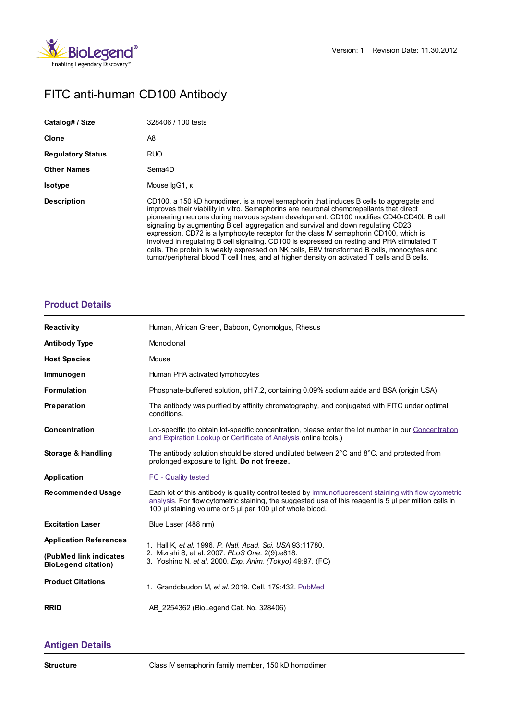

# FITC anti-human CD100 Antibody

| Catalog# / Size          | 328406 / 100 tests                                                                                                                                                                                                                                                                                                                                                                                                                                                                                                                                                                                                                                                                                                                                    |
|--------------------------|-------------------------------------------------------------------------------------------------------------------------------------------------------------------------------------------------------------------------------------------------------------------------------------------------------------------------------------------------------------------------------------------------------------------------------------------------------------------------------------------------------------------------------------------------------------------------------------------------------------------------------------------------------------------------------------------------------------------------------------------------------|
| <b>Clone</b>             | A8                                                                                                                                                                                                                                                                                                                                                                                                                                                                                                                                                                                                                                                                                                                                                    |
| <b>Regulatory Status</b> | <b>RUO</b>                                                                                                                                                                                                                                                                                                                                                                                                                                                                                                                                                                                                                                                                                                                                            |
| <b>Other Names</b>       | Sema4D                                                                                                                                                                                                                                                                                                                                                                                                                                                                                                                                                                                                                                                                                                                                                |
| <b>Isotype</b>           | Mouse IgG1, K                                                                                                                                                                                                                                                                                                                                                                                                                                                                                                                                                                                                                                                                                                                                         |
| <b>Description</b>       | CD100, a 150 kD homodimer, is a novel semaphorin that induces B cells to aggregate and<br>improves their viability in vitro. Semaphorins are neuronal chemorepellants that direct<br>pioneering neurons during nervous system development. CD100 modifies CD40-CD40L B cell<br>signaling by augmenting B cell aggregation and survival and down regulating CD23<br>expression. CD72 is a lymphocyte receptor for the class IV semaphorin CD100, which is<br>involved in regulating B cell signaling. CD100 is expressed on resting and PHA stimulated T<br>cells. The protein is weakly expressed on NK cells, EBV transformed B cells, monocytes and<br>tumor/peripheral blood T cell lines, and at higher density on activated T cells and B cells. |

## **[Product](https://www.biolegend.com/de-at/products/fitc-anti-human-cd100-antibody-4398?pdf=true&displayInline=true&leftRightMargin=15&topBottomMargin=15&filename=FITC anti-human CD100 Antibody.pdf#productDetails) Details**

| <b>Reactivity</b>                                    | Human, African Green, Baboon, Cynomolgus, Rhesus                                                                                                                                                                 |
|------------------------------------------------------|------------------------------------------------------------------------------------------------------------------------------------------------------------------------------------------------------------------|
| <b>Antibody Type</b>                                 | Monoclonal                                                                                                                                                                                                       |
| <b>Host Species</b>                                  | Mouse                                                                                                                                                                                                            |
| Immunogen                                            | Human PHA activated lymphocytes                                                                                                                                                                                  |
| <b>Formulation</b>                                   | Phosphate-buffered solution, pH 7.2, containing 0.09% sodium azide and BSA (origin USA)                                                                                                                          |
| Preparation                                          | The antibody was purified by affinity chromatography, and conjugated with FITC under optimal<br>conditions.                                                                                                      |
| <b>Concentration</b>                                 | Lot-specific (to obtain lot-specific concentration, please enter the lot number in our Concentration<br>and Expiration Lookup or Certificate of Analysis online tools.)                                          |
| Storage & Handling                                   | The antibody solution should be stored undiluted between $2^{\circ}$ C and $8^{\circ}$ C, and protected from<br>prolonged exposure to light. Do not freeze.                                                      |
| Application                                          | <b>FC - Quality tested</b>                                                                                                                                                                                       |
| <b>Recommended Usage</b>                             | Each lot of this antibody is quality control tested by immunofluorescent staining with flow cytometric<br>analysis. For flow cytometric staining, the suggested use of this reagent is 5 µl per million cells in |
|                                                      | 100 µl staining volume or 5 µl per 100 µl of whole blood.                                                                                                                                                        |
| <b>Excitation Laser</b>                              | Blue Laser (488 nm)                                                                                                                                                                                              |
| <b>Application References</b>                        | 1. Hall K, et al. 1996. P. Natl. Acad. Sci. USA 93:11780.                                                                                                                                                        |
| (PubMed link indicates<br><b>BioLegend citation)</b> | 2. Mizrahi S, et al. 2007. PLoS One. 2(9):e818.<br>3. Yoshino N, et al. 2000. Exp. Anim. (Tokyo) 49:97. (FC)                                                                                                     |
| <b>Product Citations</b>                             | 1. Grandclaudon M, et al. 2019. Cell. 179:432. PubMed                                                                                                                                                            |

## **[Antigen](https://www.biolegend.com/de-at/products/fitc-anti-human-cd100-antibody-4398?pdf=true&displayInline=true&leftRightMargin=15&topBottomMargin=15&filename=FITC anti-human CD100 Antibody.pdf#antigenDetails) Details**